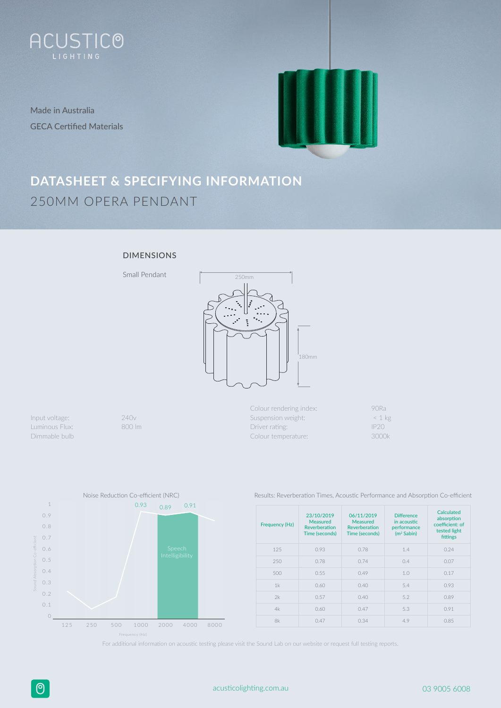

Made in Australia GECA Certified Materials



# **DATASHEET & SPECIFYING INFORMATION** 250MM OPERA PENDANT

## DIMENSIONS



Input voltage: 240v Luminous Flux: 800 lm Dimmable bulb

Colour rendering index: 90Ra Suspension weight:  $\leq 1 \text{ kg}$ Driver rating: IP20 Colour temperature: 3000k



Results: Reverberation Times, Acoustic Performance and Absorption Co-efficient

| Frequency (Hz) | 23/10/2019<br>Measured<br>Reverberation<br>Time (seconds) | 06/11/2019<br>Measured<br>Reverberation<br>Time (seconds) | <b>Difference</b><br>in acoustic<br>performance<br>$(m2$ Sabin) | Calculated<br>absorption<br>coefficient: of<br>tested light<br>fittings |
|----------------|-----------------------------------------------------------|-----------------------------------------------------------|-----------------------------------------------------------------|-------------------------------------------------------------------------|
| 125            | 0.93                                                      | 0.78                                                      | 1.4                                                             | 0.24                                                                    |
| 250            | 0.78                                                      | 0.74                                                      | 0.4                                                             | 0.07                                                                    |
| 500            | 0.55                                                      | 0.49                                                      | 1.0                                                             | 0.17                                                                    |
| 1k             | 0.60                                                      | 0.40                                                      | 5.4                                                             | 0.93                                                                    |
| 2k             | 0.57                                                      | 0.40                                                      | 5.2                                                             | 0.89                                                                    |
| 4k             | 0.60                                                      | 0.47                                                      | 5.3                                                             | 0.91                                                                    |
| 8k             | 0.47                                                      | 0.34                                                      | 4.9                                                             | 0.85                                                                    |

For additional information on acoustic testing please visit the Sound Lab on our website or request full testing reports.